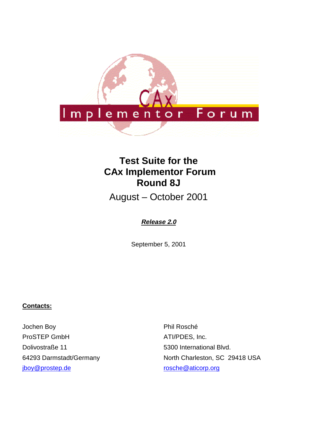

# **Test Suite for the CAx Implementor Forum Round 8J**

August – October 2001

# **Release 2.0**

September 5, 2001

### **Contacts:**

Jochen Boy ProSTEP GmbH Dolivostraße 11 64293 Darmstadt/Germany jboy@prostep.de

Phil Rosché ATI/PDES, Inc. 5300 International Blvd. North Charleston, SC 29418 USA rosche@aticorp.org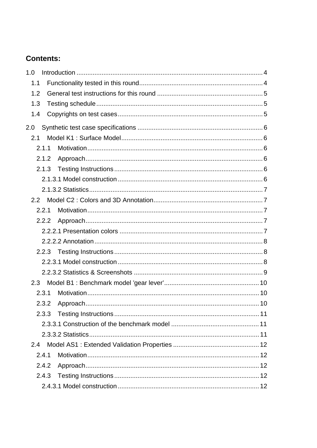# **Contents:**

| 1.0   |  |
|-------|--|
| 1.1   |  |
| 1.2   |  |
| 1.3   |  |
| 1.4   |  |
| 2.0   |  |
| 2.1   |  |
| 2.1.1 |  |
| 2.1.2 |  |
| 2.1.3 |  |
|       |  |
|       |  |
| 2.2   |  |
| 2.2.1 |  |
| 2.2.2 |  |
|       |  |
|       |  |
|       |  |
|       |  |
|       |  |
| 2.3   |  |
| 2.3.1 |  |
| 2.3.2 |  |
| 2.3.3 |  |
|       |  |
|       |  |
| 2.4   |  |
| 2.4.1 |  |
| 2.4.2 |  |
| 2.4.3 |  |
|       |  |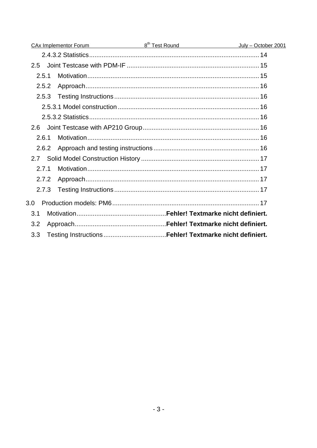|       | <u>CAx Implementor Forum and B<sup>th</sup> Test Round</u> | July - October 2001 |
|-------|------------------------------------------------------------|---------------------|
|       |                                                            |                     |
| 2.5   |                                                            |                     |
| 2.5.1 |                                                            |                     |
| 2.5.2 |                                                            |                     |
| 2.5.3 |                                                            |                     |
|       |                                                            |                     |
|       |                                                            |                     |
| 2.6   |                                                            |                     |
| 2.6.1 |                                                            |                     |
| 2.6.2 |                                                            |                     |
| 2.7   |                                                            |                     |
| 2.7.1 |                                                            |                     |
| 2.7.2 |                                                            |                     |
| 2.7.3 |                                                            |                     |
| 3.0   |                                                            |                     |
| 3.1   |                                                            |                     |
| 3.2   |                                                            |                     |
| 3.3   |                                                            |                     |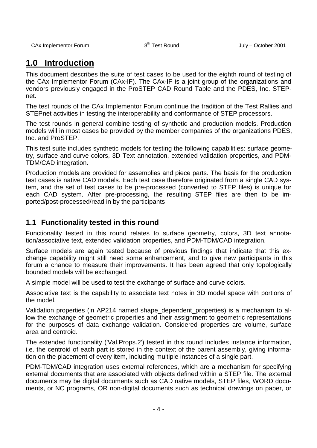# **1.0 Introduction**

This document describes the suite of test cases to be used for the eighth round of testing of the CAx Implementor Forum (CAx-IF). The CAx-IF is a joint group of the organizations and vendors previously engaged in the ProSTEP CAD Round Table and the PDES, Inc. STEPnet.

The test rounds of the CAx Implementor Forum continue the tradition of the Test Rallies and STEPnet activities in testing the interoperability and conformance of STEP processors.

The test rounds in general combine testing of synthetic and production models. Production models will in most cases be provided by the member companies of the organizations PDES, Inc. and ProSTEP.

This test suite includes synthetic models for testing the following capabilities: surface geometry, surface and curve colors, 3D Text annotation, extended validation properties, and PDM-TDM/CAD integration.

Production models are provided for assemblies and piece parts. The basis for the production test cases is native CAD models. Each test case therefore originated from a single CAD system, and the set of test cases to be pre-processed (converted to STEP files) is unique for each CAD system. After pre-processing, the resulting STEP files are then to be imported/post-processed/read in by the participants

### **1.1 Functionality tested in this round**

Functionality tested in this round relates to surface geometry, colors, 3D text annotation/associative text, extended validation properties, and PDM-TDM/CAD integration.

Surface models are again tested because of previous findings that indicate that this exchange capability might still need some enhancement, and to give new participants in this forum a chance to measure their improvements. It has been agreed that only topologically bounded models will be exchanged.

A simple model will be used to test the exchange of surface and curve colors.

Associative text is the capability to associate text notes in 3D model space with portions of the model.

Validation properties (in AP214 named shape\_dependent\_properties) is a mechanism to allow the exchange of geometric properties and their assignment to geometric representations for the purposes of data exchange validation. Considered properties are volume, surface area and centroid.

The extended functionality ('Val.Props.2') tested in this round includes instance information, i.e. the centroid of each part is stored in the context of the parent assembly, giving information on the placement of every item, including multiple instances of a single part.

PDM-TDM/CAD integration uses external references, which are a mechanism for specifying external documents that are associated with objects defined within a STEP file. The external documents may be digital documents such as CAD native models, STEP files, WORD documents, or NC programs, OR non-digital documents such as technical drawings on paper, or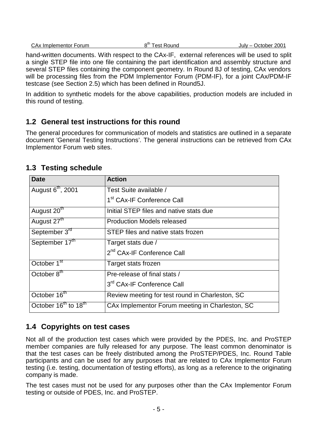| CAx Implementor Forum | 8 <sup>th</sup> Test Round | July - October 2001 |
|-----------------------|----------------------------|---------------------|
|                       |                            |                     |

hand-written documents. With respect to the CAx-IF, external references will be used to split a single STEP file into one file containing the part identification and assembly structure and several STEP files containing the component geometry. In Round 8J of testing, CAx vendors will be processing files from the PDM Implementor Forum (PDM-IF), for a joint CAx/PDM-IF testcase (see Section 2.5) which has been defined in Round5J.

In addition to synthetic models for the above capabilities, production models are included in this round of testing.

# **1.2 General test instructions for this round**

The general procedures for communication of models and statistics are outlined in a separate document 'General Testing Instructions'. The general instructions can be retrieved from CAx Implementor Forum web sites.

| <b>Date</b>                                  | <b>Action</b>                                   |
|----------------------------------------------|-------------------------------------------------|
| August 6 <sup>th</sup> , 2001                | Test Suite available /                          |
|                                              | 1 <sup>st</sup> CAx-IF Conference Call          |
| August 20 <sup>th</sup>                      | Initial STEP files and native stats due         |
| August 27 <sup>th</sup>                      | <b>Production Models released</b>               |
| September 3rd                                | STEP files and native stats frozen              |
| September 17th                               | Target stats due /                              |
|                                              | 2 <sup>nd</sup> CAx-IF Conference Call          |
| October 1 <sup>st</sup>                      | Target stats frozen                             |
| October $8^{\text{th}}$                      | Pre-release of final stats /                    |
|                                              | 3rd CAx-IF Conference Call                      |
| October 16 <sup>th</sup>                     | Review meeting for test round in Charleston, SC |
| October 16 <sup>th</sup> to 18 <sup>th</sup> | CAx Implementor Forum meeting in Charleston, SC |

# **1.3 Testing schedule**

## **1.4 Copyrights on test cases**

Not all of the production test cases which were provided by the PDES, Inc. and ProSTEP member companies are fully released for any purpose. The least common denominator is that the test cases can be freely distributed among the ProSTEP/PDES, Inc. Round Table participants and can be used for any purposes that are related to CAx Implementor Forum testing (i.e. testing, documentation of testing efforts), as long as a reference to the originating company is made.

The test cases must not be used for any purposes other than the CAx Implementor Forum testing or outside of PDES, Inc. and ProSTEP.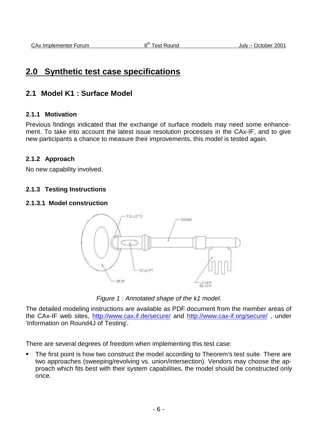# **2.0 Synthetic test case specifications**

# **2.1 Model K1 : Surface Model**

### **2.1.1 Motivation**

Previous findings indicated that the exchange of surface models may need some enhancement. To take into account the latest issue resolution processes in the CAx-IF, and to give new participants a chance to measure their improvements, this model is tested again.

### **2.1.2 Approach**

No new capability involved.

### **2.1.3 Testing Instructions**

#### **2.1.3.1 Model construction**



Figure 1 : Annotated shape of the k1 model.

The detailed modeling instructions are available as PDF document from the member areas of the CAx-IF web sites, http://www.cax.if.de/secure/ and http://www.cax-if.org/secure/ , under 'Information on Round4J of Testing'.

There are several degrees of freedom when implementing this test case:

 The first point is how two construct the model according to Theorem's test suite. There are two approaches (sweeping/revolving vs. union/intersection). Vendors may choose the approach which fits best with their system capabilities, the model should be constructed only once.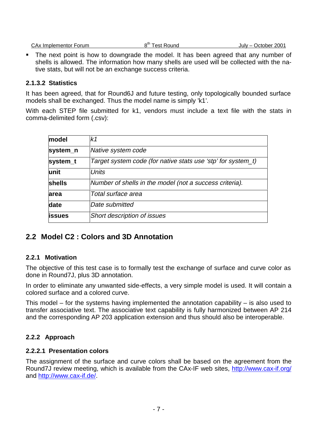| CAx Implementor Forum | ດ <code><code>um</code></code><br>est<br>. Round | 2001<br>October<br>July $ \prime$ |
|-----------------------|--------------------------------------------------|-----------------------------------|
|                       |                                                  |                                   |

 The next point is how to downgrade the model. It has been agreed that any number of shells is allowed. The information how many shells are used will be collected with the native stats, but will not be an exchange success criteria.

### **2.1.3.2 Statistics**

It has been agreed, that for Round6J and future testing, only topologically bounded surface models shall be exchanged. Thus the model name is simply 'k1'.

With each STEP file submitted for k1, vendors must include a text file with the stats in comma-delimited form (.csv):

| model         | k1                                                           |
|---------------|--------------------------------------------------------------|
| system_n      | Native system code                                           |
| system_t      | Target system code (for native stats use 'stp' for system_t) |
| unit          | Units                                                        |
| shells        | Number of shells in the model (not a success criteria).      |
| area          | Total surface area                                           |
| date          | Date submitted                                               |
| <b>issues</b> | <b>Short description of issues</b>                           |

# **2.2 Model C2 : Colors and 3D Annotation**

### **2.2.1 Motivation**

The objective of this test case is to formally test the exchange of surface and curve color as done in Round7J, plus 3D annotation.

In order to eliminate any unwanted side-effects, a very simple model is used. It will contain a colored surface and a colored curve.

This model – for the systems having implemented the annotation capability – is also used to transfer associative text. The associative text capability is fully harmonized between AP 214 and the corresponding AP 203 application extension and thus should also be interoperable.

### **2.2.2 Approach**

### **2.2.2.1 Presentation colors**

The assignment of the surface and curve colors shall be based on the agreement from the Round7J review meeting, which is available from the CAx-IF web sites, http://www.cax-if.org/ and http://www.cax-if.de/.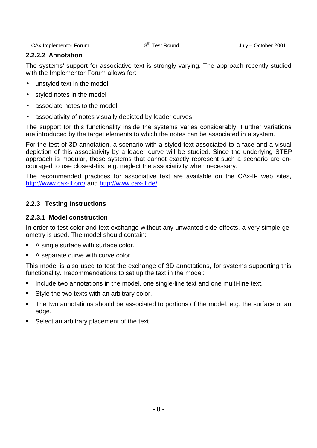CAx Implementor Forum and B<sup>th</sup> Test Round and July – October 2001

### **2.2.2.2 Annotation**

The systems' support for associative text is strongly varying. The approach recently studied with the Implementor Forum allows for:

- unstyled text in the model
- styled notes in the model
- associate notes to the model
- associativity of notes visually depicted by leader curves

The support for this functionality inside the systems varies considerably. Further variations are introduced by the target elements to which the notes can be associated in a system.

For the test of 3D annotation, a scenario with a styled text associated to a face and a visual depiction of this associativity by a leader curve will be studied. Since the underlying STEP approach is modular, those systems that cannot exactly represent such a scenario are encouraged to use closest-fits, e.g. neglect the associativity when necessary.

The recommended practices for associative text are available on the CAx-IF web sites, http://www.cax-if.org/ and http://www.cax-if.de/.

### **2.2.3 Testing Instructions**

#### **2.2.3.1 Model construction**

In order to test color and text exchange without any unwanted side-effects, a very simple geometry is used. The model should contain:

- A single surface with surface color.
- A separate curve with curve color.

This model is also used to test the exchange of 3D annotations, for systems supporting this functionality. Recommendations to set up the text in the model:

- **Include two annotations in the model, one single-line text and one multi-line text.**
- Style the two texts with an arbitrary color.
- The two annotations should be associated to portions of the model, e.g. the surface or an edge.
- Select an arbitrary placement of the text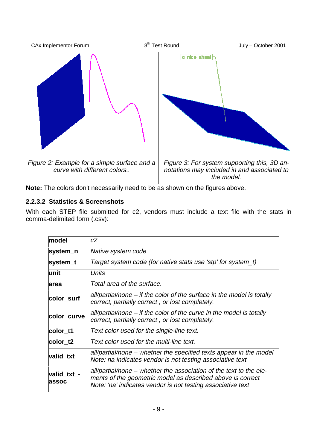

**Note:** The colors don't necessarily need to be as shown on the figures above.

## **2.2.3.2 Statistics & Screenshots**

With each STEP file submitted for c2, vendors must include a text file with the stats in comma-delimited form (.csv):

| model                        | c2                                                                                                                                                                                              |
|------------------------------|-------------------------------------------------------------------------------------------------------------------------------------------------------------------------------------------------|
| system_n                     | Native system code                                                                                                                                                                              |
| system_t                     | Target system code (for native stats use 'stp' for system_t)                                                                                                                                    |
| lunit                        | Units                                                                                                                                                                                           |
| larea                        | Total area of the surface.                                                                                                                                                                      |
| color_surf                   | all/partial/none – if the color of the surface in the model is totally<br>correct, partially correct, or lost completely.                                                                       |
| color_curve                  | all/partial/none – if the color of the curve in the model is totally<br>correct, partially correct, or lost completely.                                                                         |
| color t1                     | Text color used for the single-line text.                                                                                                                                                       |
| color t2                     | Text color used for the multi-line text.                                                                                                                                                        |
| valid_txt                    | all/partial/none – whether the specified texts appear in the model<br>Note: na indicates vendor is not testing associative text                                                                 |
| valid_txt_-<br><b>lassoc</b> | all/partial/none – whether the association of the text to the ele-<br>ments of the geometric model as described above is correct<br>Note: 'na' indicates vendor is not testing associative text |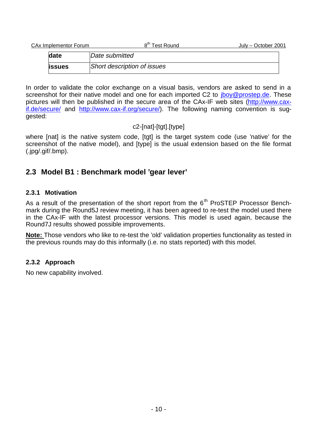| CAx Implementor Forum |                             | 8 <sup>th</sup> Test Round | July – October 2001 |
|-----------------------|-----------------------------|----------------------------|---------------------|
| date                  | Date submitted              |                            |                     |
| <b>lissues</b>        | Short description of issues |                            |                     |

In order to validate the color exchange on a visual basis, vendors are asked to send in a screenshot for their native model and one for each imported C2 to jboy@prostep.de. These pictures will then be published in the secure area of the CAx-IF web sites (http://www.caxif.de/secure/ and http://www.cax-if.org/secure/). The following naming convention is suggested:

## c2-[nat]-[tgt].[type]

where [nat] is the native system code, [tgt] is the target system code (use 'native' for the screenshot of the native model), and [type] is the usual extension based on the file format (.jpg/.gif/.bmp).

# **2.3 Model B1 : Benchmark model 'gear lever'**

### **2.3.1 Motivation**

As a result of the presentation of the short report from the  $6<sup>th</sup>$  ProSTEP Processor Benchmark during the Round5J review meeting, it has been agreed to re-test the model used there in the CAx-IF with the latest processor versions. This model is used again, because the Round7J results showed possible improvements.

**Note:** Those vendors who like to re-test the 'old' validation properties functionality as tested in the previous rounds may do this informally (i.e. no stats reported) with this model.

## **2.3.2 Approach**

No new capability involved.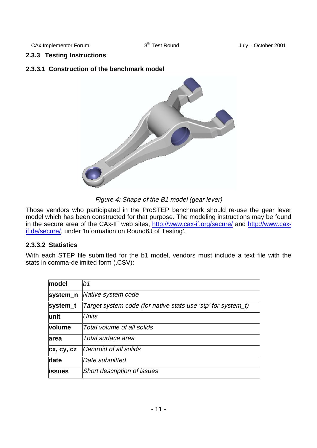CAx Implementor Forum  $8<sup>th</sup>$  Test Round July – October 2001

#### **2.3.3 Testing Instructions**

#### **2.3.3.1 Construction of the benchmark model**



Figure 4: Shape of the B1 model (gear lever)

Those vendors who participated in the ProSTEP benchmark should re-use the gear lever model which has been constructed for that purpose. The modeling instructions may be found in the secure area of the CAx-IF web sites, http://www.cax-if.org/secure/ and http://www.caxif.de/secure/, under 'Information on Round6J of Testing'.

### **2.3.3.2 Statistics**

With each STEP file submitted for the b1 model, vendors must include a text file with the stats in comma-delimited form (.CSV):

| model         | b1                                                           |
|---------------|--------------------------------------------------------------|
| system_n      | Native system code                                           |
| system_t      | Target system code (for native stats use 'stp' for system_t) |
| lunit         | <i>Units</i>                                                 |
| <b>volume</b> | Total volume of all solids                                   |
| area          | Total surface area                                           |
| cx, cy, cz    | Centroid of all solids                                       |
| date          | lDate submitted                                              |
| lissues       | <b>Short description of issues</b>                           |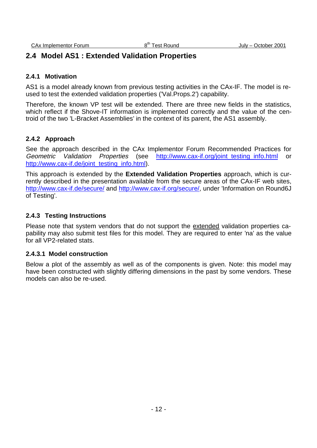## **2.4 Model AS1 : Extended Validation Properties**

### **2.4.1 Motivation**

AS1 is a model already known from previous testing activities in the CAx-IF. The model is reused to test the extended validation properties ('Val.Props.2') capability.

Therefore, the known VP test will be extended. There are three new fields in the statistics, which reflect if the Shove-IT information is implemented correctly and the value of the centroid of the two 'L-Bracket Assemblies' in the context of its parent, the AS1 assembly.

### **2.4.2 Approach**

See the approach described in the CAx Implementor Forum Recommended Practices for Geometric Validation Properties (see http://www.cax-if.org/joint\_testing\_info.html or http://www.cax-if.de/joint\_testing\_info.html).

This approach is extended by the **Extended Validation Properties** approach, which is currently described in the presentation available from the secure areas of the CAx-IF web sites, http://www.cax-if.de/secure/ and http://www.cax-if.org/secure/, under 'Information on Round6J of Testing'.

### **2.4.3 Testing Instructions**

Please note that system vendors that do not support the extended validation properties capability may also submit test files for this model. They are required to enter 'na' as the value for all VP2-related stats.

### **2.4.3.1 Model construction**

Below a plot of the assembly as well as of the components is given. Note: this model may have been constructed with slightly differing dimensions in the past by some vendors. These models can also be re-used.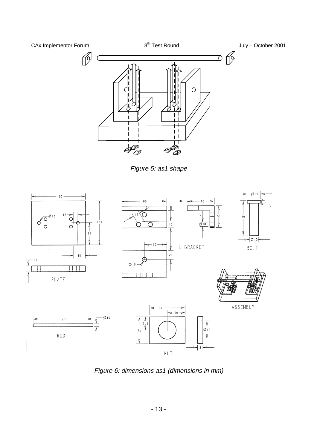

Figure 5: as1 shape



Figure 6: dimensions as1 (dimensions in mm)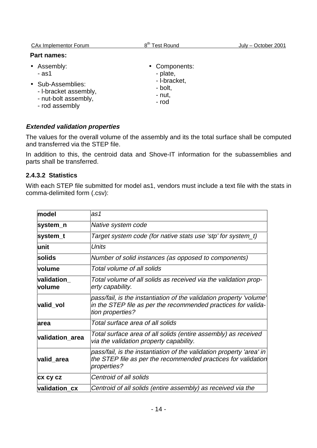| <b>CAx Implementor Forum</b>                                                                                   | 8 <sup>th</sup> Test Round                                              | July – October 2001 |
|----------------------------------------------------------------------------------------------------------------|-------------------------------------------------------------------------|---------------------|
| <b>Part names:</b>                                                                                             |                                                                         |                     |
| • Assembly:<br>$-$ as1<br>• Sub-Assemblies:<br>- I-bracket assembly,<br>- nut-bolt assembly,<br>- rod assembly | • Components:<br>- plate,<br>- I-bracket,<br>- bolt,<br>- nut,<br>- rod |                     |

### **Extended validation properties**

The values for the overall volume of the assembly and its the total surface shall be computed and transferred via the STEP file.

In addition to this, the centroid data and Shove-IT information for the subassemblies and parts shall be transferred.

### **2.4.3.2 Statistics**

With each STEP file submitted for model as1, vendors must include a text file with the stats in comma-delimited form (.csv):

| model                 | as1                                                                                                                                                      |
|-----------------------|----------------------------------------------------------------------------------------------------------------------------------------------------------|
| system_n              | Native system code                                                                                                                                       |
| system_t              | Target system code (for native stats use 'stp' for system_t)                                                                                             |
| unit                  | <b>Units</b>                                                                                                                                             |
| solids                | Number of solid instances (as opposed to components)                                                                                                     |
| volume                | Total volume of all solids                                                                                                                               |
| validation_<br>volume | Total volume of all solids as received via the validation prop-<br>erty capability.                                                                      |
| valid_vol             | pass/fail, is the instantiation of the validation property 'volume'<br>in the STEP file as per the recommended practices for valida-<br>tion properties? |
| area                  | Total surface area of all solids                                                                                                                         |
| validation_area       | Total surface area of all solids (entire assembly) as received<br>via the validation property capability.                                                |
| valid_area            | pass/fail, is the instantiation of the validation property 'area' in<br>the STEP file as per the recommended practices for validation<br>properties?     |
| <b>CX CY CZ</b>       | Centroid of all solids                                                                                                                                   |
| validation_cx         | Centroid of all solids (entire assembly) as received via the                                                                                             |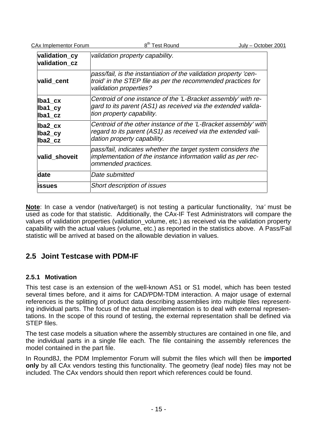| <b>CAx Implementor Forum</b>   | 8 <sup>th</sup> Test Round<br>July - October 2001                                                                                                               |  |
|--------------------------------|-----------------------------------------------------------------------------------------------------------------------------------------------------------------|--|
| validation_cy<br>validation cz | validation property capability.                                                                                                                                 |  |
| valid cent                     | pass/fail, is the instantiation of the validation property 'cen-<br>troid' in the STEP file as per the recommended practices for<br>validation properties?      |  |
| lba1_cx<br>lba1_cy<br>lba1_cz  | Centroid of one instance of the 'L-Bracket assembly' with re-<br>gard to its parent (AS1) as received via the extended valida-<br>tion property capability.     |  |
| lba2 cx<br>lba2_cy<br>lba2_cz  | Centroid of the other instance of the 'L-Bracket assembly' with<br>regard to its parent (AS1) as received via the extended vali-<br>dation property capability. |  |
| valid_shoveit                  | pass/fail, indicates whether the target system considers the<br>implementation of the instance information valid as per rec-<br>ommended practices.             |  |
| date                           | Date submitted                                                                                                                                                  |  |
| issues                         | <b>Short description of issues</b>                                                                                                                              |  |
|                                |                                                                                                                                                                 |  |

**Note**: In case a vendor (native/target) is not testing a particular functionality, 'na' must be used as code for that statistic. Additionally, the CAx-IF Test Administrators will compare the values of validation properties (validation volume, etc.) as received via the validation property capability with the actual values (volume, etc.) as reported in the statistics above. A Pass/Fail statistic will be arrived at based on the allowable deviation in values.

# **2.5 Joint Testcase with PDM-IF**

### **2.5.1 Motivation**

This test case is an extension of the well-known AS1 or S1 model, which has been tested several times before, and it aims for CAD/PDM-TDM interaction. A major usage of external references is the splitting of product data describing assemblies into multiple files representing individual parts. The focus of the actual implementation is to deal with external representations. In the scope of this round of testing, the external representation shall be defined via STEP files.

The test case models a situation where the assembly structures are contained in one file, and the individual parts in a single file each. The file containing the assembly references the model contained in the part file.

In Round8J, the PDM Implementor Forum will submit the files which will then be **imported only** by all CAx vendors testing this functionality. The geometry (leaf node) files may not be included. The CAx vendors should then report which references could be found.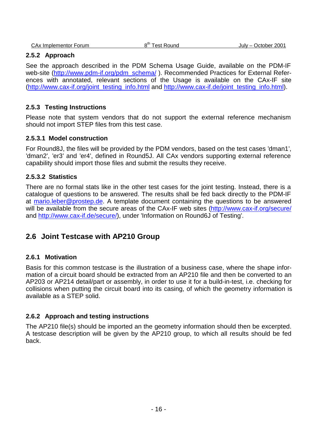#### **2.5.2 Approach**

See the approach described in the PDM Schema Usage Guide, available on the PDM-IF web-site (http://www.pdm-if.org/pdm\_schema/). Recommended Practices for External References with annotated, relevant sections of the Usage is available on the CAx-IF site (http://www.cax-if.org/joint\_testing\_info.html and http://www.cax-if.de/joint\_testing\_info.html).

#### **2.5.3 Testing Instructions**

Please note that system vendors that do not support the external reference mechanism should not import STEP files from this test case.

#### **2.5.3.1 Model construction**

For Round8J, the files will be provided by the PDM vendors, based on the test cases 'dman1', 'dman2', 'er3' and 'er4', defined in Round5J. All CAx vendors supporting external reference capability should import those files and submit the results they receive.

#### **2.5.3.2 Statistics**

There are no formal stats like in the other test cases for the joint testing. Instead, there is a catalogue of questions to be answered. The results shall be fed back directly to the PDM-IF at mario.leber@prostep.de. A template document containing the questions to be answered will be available from the secure areas of the CAx-IF web sites (http://www.cax-if.org/secure/ and http://www.cax-if.de/secure/), under 'Information on Round6J of Testing'.

### **2.6 Joint Testcase with AP210 Group**

#### **2.6.1 Motivation**

Basis for this common testcase is the illustration of a business case, where the shape information of a circuit board should be extracted from an AP210 file and then be converted to an AP203 or AP214 detail/part or assembly, in order to use it for a build-in-test, i.e. checking for collisions when putting the circuit board into its casing, of which the geometry information is available as a STEP solid.

#### **2.6.2 Approach and testing instructions**

The AP210 file(s) should be imported an the geometry information should then be excerpted. A testcase description will be given by the AP210 group, to which all results should be fed back.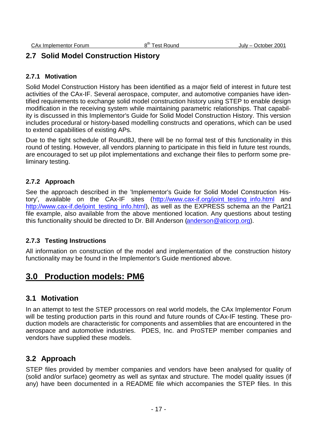# **2.7 Solid Model Construction History**

### **2.7.1 Motivation**

Solid Model Construction History has been identified as a major field of interest in future test activities of the CAx-IF. Several aerospace, computer, and automotive companies have identified requirements to exchange solid model construction history using STEP to enable design modification in the receiving system while maintaining parametric relationships. That capability is discussed in this Implementor's Guide for Solid Model Construction History. This version includes procedural or history-based modelling constructs and operations, which can be used to extend capabilities of existing APs.

Due to the tight schedule of Round8J, there will be no formal test of this functionality in this round of testing. However, all vendors planning to participate in this field in future test rounds, are encouraged to set up pilot implementations and exchange their files to perform some preliminary testing.

### **2.7.2 Approach**

See the approach described in the 'Implementor's Guide for Solid Model Construction History', available on the CAx-IF sites (http://www.cax-if.org/joint\_testing\_info.html and http://www.cax-if.de/joint\_testing\_info.html), as well as the EXPRESS schema an the Part21 file example, also available from the above mentioned location. Any questions about testing this functionality should be directed to Dr. Bill Anderson (anderson@aticorp.org).

### **2.7.3 Testing Instructions**

All information on construction of the model and implementation of the construction history functionality may be found in the Implementor's Guide mentioned above.

# **3.0 Production models: PM6**

### **3.1 Motivation**

In an attempt to test the STEP processors on real world models, the CAx Implementor Forum will be testing production parts in this round and future rounds of CAx-IF testing. These production models are characteristic for components and assemblies that are encountered in the aerospace and automotive industries. PDES, Inc. and ProSTEP member companies and vendors have supplied these models.

## **3.2 Approach**

STEP files provided by member companies and vendors have been analysed for quality of (solid and/or surface) geometry as well as syntax and structure. The model quality issues (if any) have been documented in a README file which accompanies the STEP files. In this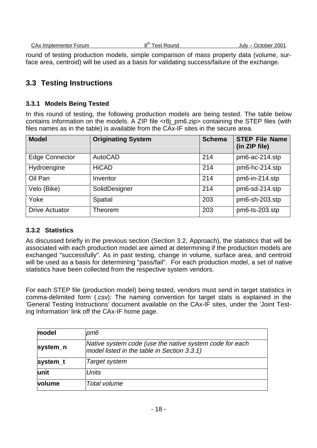| CAx | : Implementor Forum | $\sim$ th $\sim$<br>Round<br>est | 2001<br>October<br>July – |
|-----|---------------------|----------------------------------|---------------------------|
|     |                     |                                  |                           |

round of testing production models, simple comparison of mass property data (volume, surface area, centroid) will be used as a basis for validating success/failure of the exchange.

# **3.3 Testing Instructions**

### **3.3.1 Models Being Tested**

In this round of testing, the following production models are being tested. The table below contains information on the models. A ZIP file <r8j\_pm6.zip> containing the STEP files (with files names as in the table) is available from the CAx-IF sites in the secure area.

| <b>Model</b>          | <b>Originating System</b> | <b>Schema</b> | <b>STEP File Name</b><br>(in ZIP file) |
|-----------------------|---------------------------|---------------|----------------------------------------|
| <b>Edge Connector</b> | AutoCAD                   | 214           | pm6-ac-214.stp                         |
| Hydroengine           | <b>HiCAD</b>              | 214           | pm6-hc-214.stp                         |
| Oil Pan               | Inventor                  | 214           | pm6-in-214.stp                         |
| Velo (Bike)           | SolidDesigner             | 214           | pm6-sd-214.stp                         |
| Yoke                  | Spatial                   | 203           | pm6-sh-203.stp                         |
| <b>Drive Actuator</b> | Theorem                   | 203           | pm6-ts-203.stp                         |

### **3.3.2 Statistics**

As discussed briefly in the previous section (Section 3.2, Approach), the statistics that will be associated with each production model are aimed at determining if the production models are exchanged "successfully". As in past testing, change in volume, surface area, and centroid will be used as a basis for determining "pass/fail". For each production model, a set of native statistics have been collected from the respective system vendors.

For each STEP file (production model) being tested, vendors must send in target statistics in comma-delimited form (.csv): The naming convention for target stats is explained in the 'General Testing Instructions' document available on the CAx-IF sites, under the 'Joint Testing Information' link off the CAx-IF home page.

| model    | pm6                                                                                                    |
|----------|--------------------------------------------------------------------------------------------------------|
| system_n | Native system code (use the native system code for each<br>model listed in the table in Section 3.3.1) |
| system_t | <b>Target system</b>                                                                                   |
| lunit    | <b>Units</b>                                                                                           |
| volume   | Total volume                                                                                           |